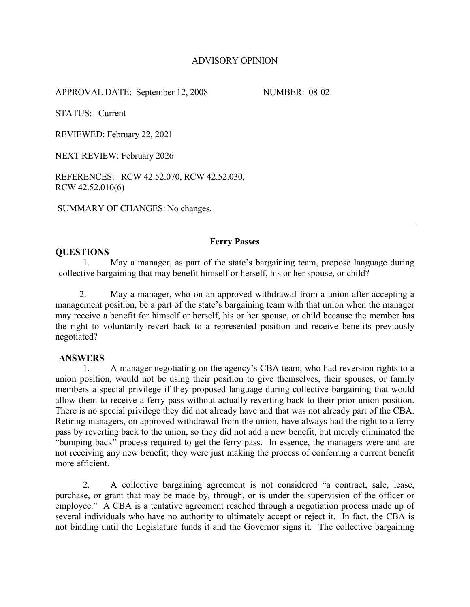# ADVISORY OPINION

APPROVAL DATE: September 12, 2008 NUMBER: 08-02

STATUS: Current

REVIEWED: February 22, 2021

NEXT REVIEW: February 2026

REFERENCES: RCW 42.52.070, RCW 42.52.030, RCW 42.52.010(6)

SUMMARY OF CHANGES: No changes.

# **QUESTIONS**

### **Ferry Passes**

1. May a manager, as part of the state's bargaining team, propose language during collective bargaining that may benefit himself or herself, his or her spouse, or child?

2. May a manager, who on an approved withdrawal from a union after accepting a management position, be a part of the state's bargaining team with that union when the manager may receive a benefit for himself or herself, his or her spouse, or child because the member has the right to voluntarily revert back to a represented position and receive benefits previously negotiated?

#### **ANSWERS**

1. A manager negotiating on the agency's CBA team, who had reversion rights to a union position, would not be using their position to give themselves, their spouses, or family members a special privilege if they proposed language during collective bargaining that would allow them to receive a ferry pass without actually reverting back to their prior union position. There is no special privilege they did not already have and that was not already part of the CBA. Retiring managers, on approved withdrawal from the union, have always had the right to a ferry pass by reverting back to the union, so they did not add a new benefit, but merely eliminated the "bumping back" process required to get the ferry pass. In essence, the managers were and are not receiving any new benefit; they were just making the process of conferring a current benefit more efficient.

2. A collective bargaining agreement is not considered "a contract, sale, lease, purchase, or grant that may be made by, through, or is under the supervision of the officer or employee." A CBA is a tentative agreement reached through a negotiation process made up of several individuals who have no authority to ultimately accept or reject it. In fact, the CBA is not binding until the Legislature funds it and the Governor signs it. The collective bargaining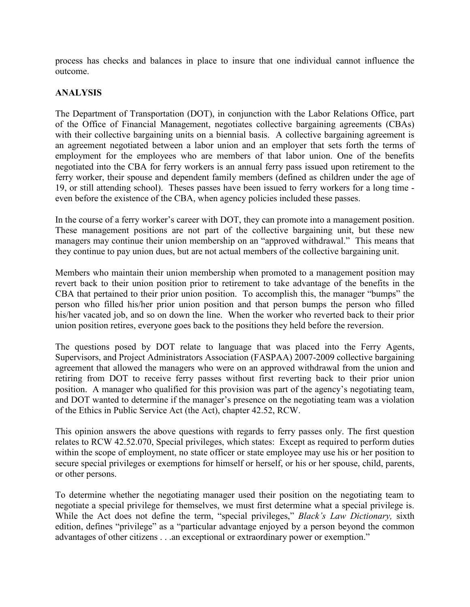process has checks and balances in place to insure that one individual cannot influence the outcome.

# **ANALYSIS**

The Department of Transportation (DOT), in conjunction with the Labor Relations Office, part of the Office of Financial Management, negotiates collective bargaining agreements (CBAs) with their collective bargaining units on a biennial basis. A collective bargaining agreement is an agreement negotiated between a labor union and an employer that sets forth the terms of employment for the employees who are members of that labor union. One of the benefits negotiated into the CBA for ferry workers is an annual ferry pass issued upon retirement to the ferry worker, their spouse and dependent family members (defined as children under the age of 19, or still attending school). Theses passes have been issued to ferry workers for a long time even before the existence of the CBA, when agency policies included these passes.

In the course of a ferry worker's career with DOT, they can promote into a management position. These management positions are not part of the collective bargaining unit, but these new managers may continue their union membership on an "approved withdrawal." This means that they continue to pay union dues, but are not actual members of the collective bargaining unit.

Members who maintain their union membership when promoted to a management position may revert back to their union position prior to retirement to take advantage of the benefits in the CBA that pertained to their prior union position. To accomplish this, the manager "bumps" the person who filled his/her prior union position and that person bumps the person who filled his/her vacated job, and so on down the line. When the worker who reverted back to their prior union position retires, everyone goes back to the positions they held before the reversion.

The questions posed by DOT relate to language that was placed into the Ferry Agents, Supervisors, and Project Administrators Association (FASPAA) 2007-2009 collective bargaining agreement that allowed the managers who were on an approved withdrawal from the union and retiring from DOT to receive ferry passes without first reverting back to their prior union position. A manager who qualified for this provision was part of the agency's negotiating team, and DOT wanted to determine if the manager's presence on the negotiating team was a violation of the Ethics in Public Service Act (the Act), chapter 42.52, RCW.

This opinion answers the above questions with regards to ferry passes only. The first question relates to RCW 42.52.070, Special privileges, which states: Except as required to perform duties within the scope of employment, no state officer or state employee may use his or her position to secure special privileges or exemptions for himself or herself, or his or her spouse, child, parents, or other persons.

To determine whether the negotiating manager used their position on the negotiating team to negotiate a special privilege for themselves, we must first determine what a special privilege is. While the Act does not define the term, "special privileges," *Black's Law Dictionary,* sixth edition, defines "privilege" as a "particular advantage enjoyed by a person beyond the common advantages of other citizens . . .an exceptional or extraordinary power or exemption."